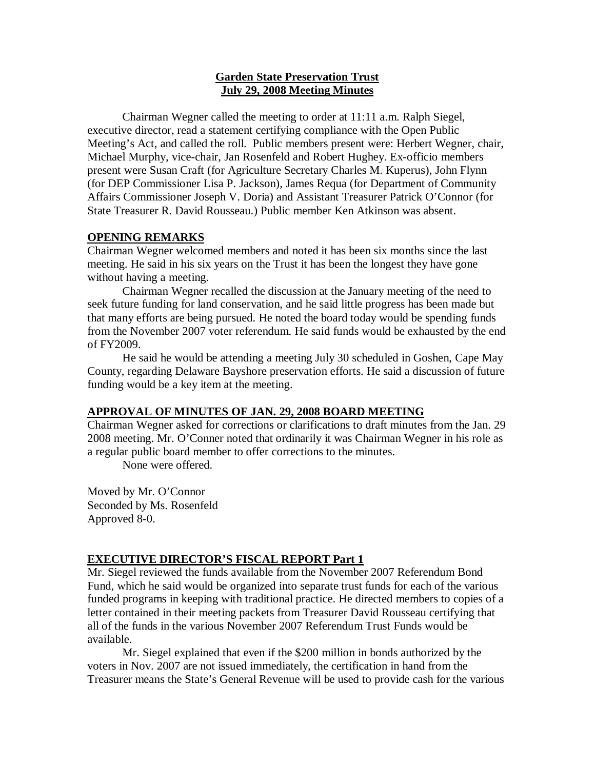### **Garden State Preservation Trust July 29, 2008 Meeting Minutes**

Chairman Wegner called the meeting to order at 11:11 a.m. Ralph Siegel, executive director, read a statement certifying compliance with the Open Public Meeting's Act, and called the roll. Public members present were: Herbert Wegner, chair, Michael Murphy, vice-chair, Jan Rosenfeld and Robert Hughey. Ex-officio members present were Susan Craft (for Agriculture Secretary Charles M. Kuperus), John Flynn (for DEP Commissioner Lisa P. Jackson), James Requa (for Department of Community Affairs Commissioner Joseph V. Doria) and Assistant Treasurer Patrick O'Connor (for State Treasurer R. David Rousseau.) Public member Ken Atkinson was absent.

# **OPENING REMARKS**

Chairman Wegner welcomed members and noted it has been six months since the last meeting. He said in his six years on the Trust it has been the longest they have gone without having a meeting.

Chairman Wegner recalled the discussion at the January meeting of the need to seek future funding for land conservation, and he said little progress has been made but that many efforts are being pursued. He noted the board today would be spending funds from the November 2007 voter referendum. He said funds would be exhausted by the end of FY2009.

He said he would be attending a meeting July 30 scheduled in Goshen, Cape May County, regarding Delaware Bayshore preservation efforts. He said a discussion of future funding would be a key item at the meeting.

# **APPROVAL OF MINUTES OF JAN. 29, 2008 BOARD MEETING**

Chairman Wegner asked for corrections or clarifications to draft minutes from the Jan. 29 2008 meeting. Mr. O'Conner noted that ordinarily it was Chairman Wegner in his role as a regular public board member to offer corrections to the minutes.

None were offered.

Moved by Mr. O'Connor Seconded by Ms. Rosenfeld Approved 8-0.

### **EXECUTIVE DIRECTOR'S FISCAL REPORT Part 1**

Mr. Siegel reviewed the funds available from the November 2007 Referendum Bond Fund, which he said would be organized into separate trust funds for each of the various funded programs in keeping with traditional practice. He directed members to copies of a letter contained in their meeting packets from Treasurer David Rousseau certifying that all of the funds in the various November 2007 Referendum Trust Funds would be available.

Mr. Siegel explained that even if the \$200 million in bonds authorized by the voters in Nov. 2007 are not issued immediately, the certification in hand from the Treasurer means the State's General Revenue will be used to provide cash for the various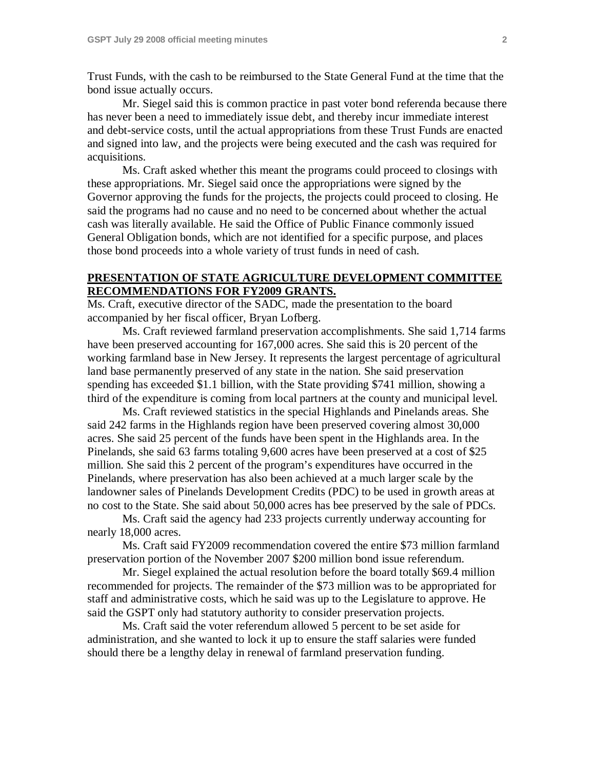Trust Funds, with the cash to be reimbursed to the State General Fund at the time that the bond issue actually occurs.

Mr. Siegel said this is common practice in past voter bond referenda because there has never been a need to immediately issue debt, and thereby incur immediate interest and debt-service costs, until the actual appropriations from these Trust Funds are enacted and signed into law, and the projects were being executed and the cash was required for acquisitions.

Ms. Craft asked whether this meant the programs could proceed to closings with these appropriations. Mr. Siegel said once the appropriations were signed by the Governor approving the funds for the projects, the projects could proceed to closing. He said the programs had no cause and no need to be concerned about whether the actual cash was literally available. He said the Office of Public Finance commonly issued General Obligation bonds, which are not identified for a specific purpose, and places those bond proceeds into a whole variety of trust funds in need of cash.

### **PRESENTATION OF STATE AGRICULTURE DEVELOPMENT COMMITTEE RECOMMENDATIONS FOR FY2009 GRANTS.**

Ms. Craft, executive director of the SADC, made the presentation to the board accompanied by her fiscal officer, Bryan Lofberg.

Ms. Craft reviewed farmland preservation accomplishments. She said 1,714 farms have been preserved accounting for 167,000 acres. She said this is 20 percent of the working farmland base in New Jersey. It represents the largest percentage of agricultural land base permanently preserved of any state in the nation. She said preservation spending has exceeded \$1.1 billion, with the State providing \$741 million, showing a third of the expenditure is coming from local partners at the county and municipal level.

Ms. Craft reviewed statistics in the special Highlands and Pinelands areas. She said 242 farms in the Highlands region have been preserved covering almost 30,000 acres. She said 25 percent of the funds have been spent in the Highlands area. In the Pinelands, she said 63 farms totaling 9,600 acres have been preserved at a cost of \$25 million. She said this 2 percent of the program's expenditures have occurred in the Pinelands, where preservation has also been achieved at a much larger scale by the landowner sales of Pinelands Development Credits (PDC) to be used in growth areas at no cost to the State. She said about 50,000 acres has bee preserved by the sale of PDCs.

Ms. Craft said the agency had 233 projects currently underway accounting for nearly 18,000 acres.

Ms. Craft said FY2009 recommendation covered the entire \$73 million farmland preservation portion of the November 2007 \$200 million bond issue referendum.

Mr. Siegel explained the actual resolution before the board totally \$69.4 million recommended for projects. The remainder of the \$73 million was to be appropriated for staff and administrative costs, which he said was up to the Legislature to approve. He said the GSPT only had statutory authority to consider preservation projects.

Ms. Craft said the voter referendum allowed 5 percent to be set aside for administration, and she wanted to lock it up to ensure the staff salaries were funded should there be a lengthy delay in renewal of farmland preservation funding.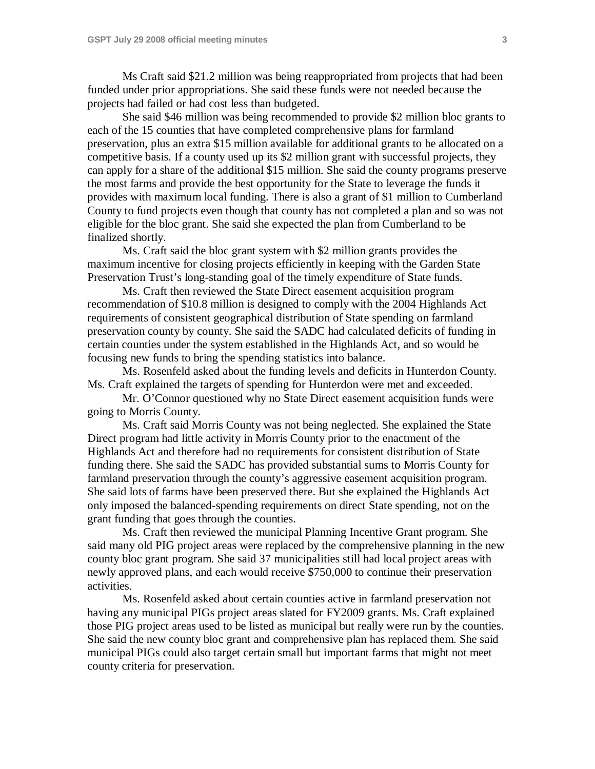Ms Craft said \$21.2 million was being reappropriated from projects that had been funded under prior appropriations. She said these funds were not needed because the projects had failed or had cost less than budgeted.

She said \$46 million was being recommended to provide \$2 million bloc grants to each of the 15 counties that have completed comprehensive plans for farmland preservation, plus an extra \$15 million available for additional grants to be allocated on a competitive basis. If a county used up its \$2 million grant with successful projects, they can apply for a share of the additional \$15 million. She said the county programs preserve the most farms and provide the best opportunity for the State to leverage the funds it provides with maximum local funding. There is also a grant of \$1 million to Cumberland County to fund projects even though that county has not completed a plan and so was not eligible for the bloc grant. She said she expected the plan from Cumberland to be finalized shortly.

Ms. Craft said the bloc grant system with \$2 million grants provides the maximum incentive for closing projects efficiently in keeping with the Garden State Preservation Trust's long-standing goal of the timely expenditure of State funds.

Ms. Craft then reviewed the State Direct easement acquisition program recommendation of \$10.8 million is designed to comply with the 2004 Highlands Act requirements of consistent geographical distribution of State spending on farmland preservation county by county. She said the SADC had calculated deficits of funding in certain counties under the system established in the Highlands Act, and so would be focusing new funds to bring the spending statistics into balance.

Ms. Rosenfeld asked about the funding levels and deficits in Hunterdon County. Ms. Craft explained the targets of spending for Hunterdon were met and exceeded.

Mr. O'Connor questioned why no State Direct easement acquisition funds were going to Morris County.

Ms. Craft said Morris County was not being neglected. She explained the State Direct program had little activity in Morris County prior to the enactment of the Highlands Act and therefore had no requirements for consistent distribution of State funding there. She said the SADC has provided substantial sums to Morris County for farmland preservation through the county's aggressive easement acquisition program. She said lots of farms have been preserved there. But she explained the Highlands Act only imposed the balanced-spending requirements on direct State spending, not on the grant funding that goes through the counties.

Ms. Craft then reviewed the municipal Planning Incentive Grant program. She said many old PIG project areas were replaced by the comprehensive planning in the new county bloc grant program. She said 37 municipalities still had local project areas with newly approved plans, and each would receive \$750,000 to continue their preservation activities.

Ms. Rosenfeld asked about certain counties active in farmland preservation not having any municipal PIGs project areas slated for FY2009 grants. Ms. Craft explained those PIG project areas used to be listed as municipal but really were run by the counties. She said the new county bloc grant and comprehensive plan has replaced them. She said municipal PIGs could also target certain small but important farms that might not meet county criteria for preservation.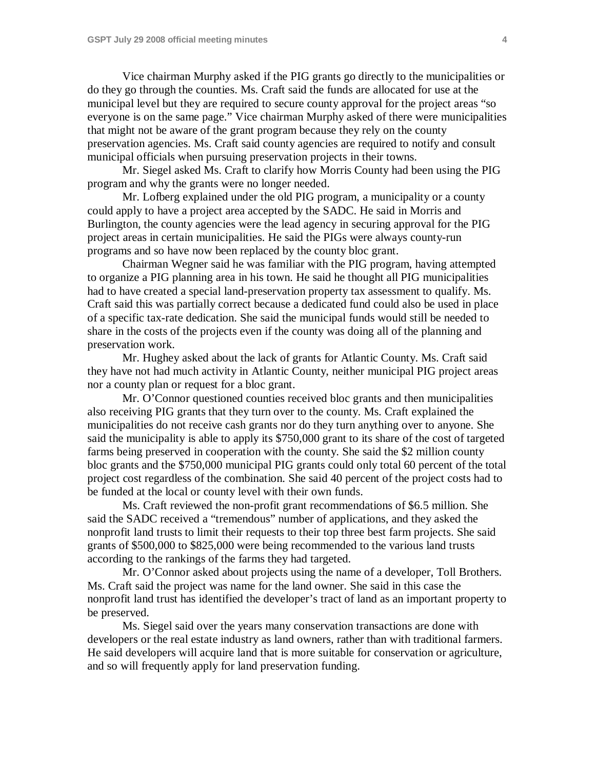Vice chairman Murphy asked if the PIG grants go directly to the municipalities or do they go through the counties. Ms. Craft said the funds are allocated for use at the municipal level but they are required to secure county approval for the project areas "so everyone is on the same page." Vice chairman Murphy asked of there were municipalities that might not be aware of the grant program because they rely on the county preservation agencies. Ms. Craft said county agencies are required to notify and consult municipal officials when pursuing preservation projects in their towns.

Mr. Siegel asked Ms. Craft to clarify how Morris County had been using the PIG program and why the grants were no longer needed.

Mr. Lofberg explained under the old PIG program, a municipality or a county could apply to have a project area accepted by the SADC. He said in Morris and Burlington, the county agencies were the lead agency in securing approval for the PIG project areas in certain municipalities. He said the PIGs were always county-run programs and so have now been replaced by the county bloc grant.

Chairman Wegner said he was familiar with the PIG program, having attempted to organize a PIG planning area in his town. He said he thought all PIG municipalities had to have created a special land-preservation property tax assessment to qualify. Ms. Craft said this was partially correct because a dedicated fund could also be used in place of a specific tax-rate dedication. She said the municipal funds would still be needed to share in the costs of the projects even if the county was doing all of the planning and preservation work.

Mr. Hughey asked about the lack of grants for Atlantic County. Ms. Craft said they have not had much activity in Atlantic County, neither municipal PIG project areas nor a county plan or request for a bloc grant.

Mr. O'Connor questioned counties received bloc grants and then municipalities also receiving PIG grants that they turn over to the county. Ms. Craft explained the municipalities do not receive cash grants nor do they turn anything over to anyone. She said the municipality is able to apply its \$750,000 grant to its share of the cost of targeted farms being preserved in cooperation with the county. She said the \$2 million county bloc grants and the \$750,000 municipal PIG grants could only total 60 percent of the total project cost regardless of the combination. She said 40 percent of the project costs had to be funded at the local or county level with their own funds.

Ms. Craft reviewed the non-profit grant recommendations of \$6.5 million. She said the SADC received a "tremendous" number of applications, and they asked the nonprofit land trusts to limit their requests to their top three best farm projects. She said grants of \$500,000 to \$825,000 were being recommended to the various land trusts according to the rankings of the farms they had targeted.

Mr. O'Connor asked about projects using the name of a developer, Toll Brothers. Ms. Craft said the project was name for the land owner. She said in this case the nonprofit land trust has identified the developer's tract of land as an important property to be preserved.

Ms. Siegel said over the years many conservation transactions are done with developers or the real estate industry as land owners, rather than with traditional farmers. He said developers will acquire land that is more suitable for conservation or agriculture, and so will frequently apply for land preservation funding.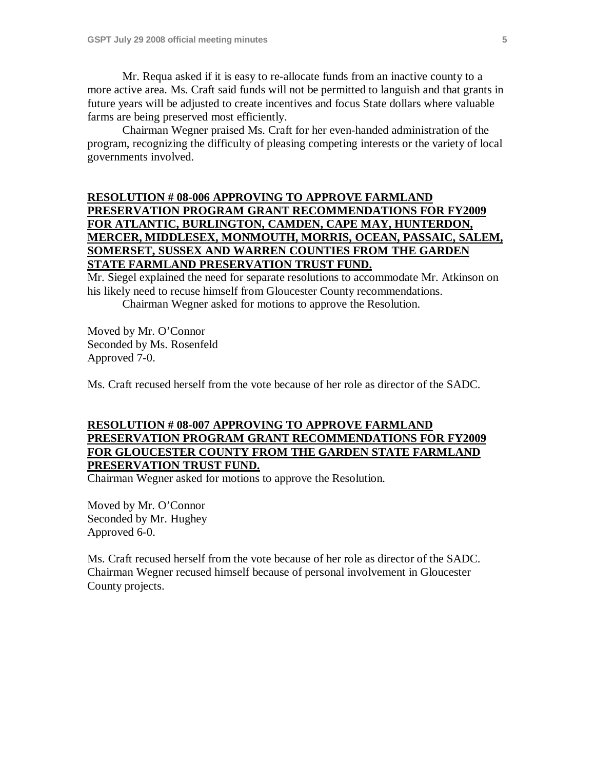Mr. Requa asked if it is easy to re-allocate funds from an inactive county to a more active area. Ms. Craft said funds will not be permitted to languish and that grants in future years will be adjusted to create incentives and focus State dollars where valuable farms are being preserved most efficiently.

Chairman Wegner praised Ms. Craft for her even-handed administration of the program, recognizing the difficulty of pleasing competing interests or the variety of local governments involved.

# **RESOLUTION # 08-006 APPROVING TO APPROVE FARMLAND PRESERVATION PROGRAM GRANT RECOMMENDATIONS FOR FY2009 FOR ATLANTIC, BURLINGTON, CAMDEN, CAPE MAY, HUNTERDON, MERCER, MIDDLESEX, MONMOUTH, MORRIS, OCEAN, PASSAIC, SALEM, SOMERSET, SUSSEX AND WARREN COUNTIES FROM THE GARDEN STATE FARMLAND PRESERVATION TRUST FUND.**

Mr. Siegel explained the need for separate resolutions to accommodate Mr. Atkinson on his likely need to recuse himself from Gloucester County recommendations.

Chairman Wegner asked for motions to approve the Resolution.

Moved by Mr. O'Connor Seconded by Ms. Rosenfeld Approved 7-0.

Ms. Craft recused herself from the vote because of her role as director of the SADC.

### **RESOLUTION # 08-007 APPROVING TO APPROVE FARMLAND PRESERVATION PROGRAM GRANT RECOMMENDATIONS FOR FY2009 FOR GLOUCESTER COUNTY FROM THE GARDEN STATE FARMLAND PRESERVATION TRUST FUND.**

Chairman Wegner asked for motions to approve the Resolution.

Moved by Mr. O'Connor Seconded by Mr. Hughey Approved 6-0.

Ms. Craft recused herself from the vote because of her role as director of the SADC. Chairman Wegner recused himself because of personal involvement in Gloucester County projects.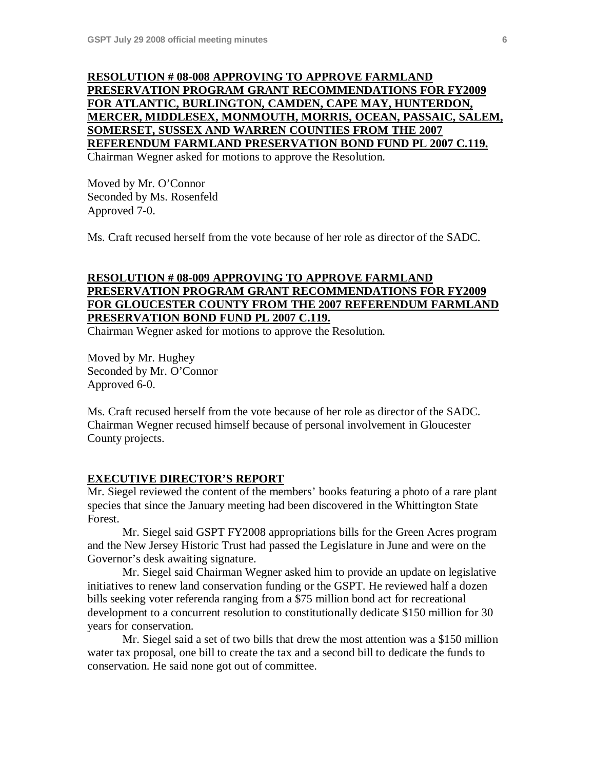### **RESOLUTION # 08-008 APPROVING TO APPROVE FARMLAND PRESERVATION PROGRAM GRANT RECOMMENDATIONS FOR FY2009 FOR ATLANTIC, BURLINGTON, CAMDEN, CAPE MAY, HUNTERDON, MERCER, MIDDLESEX, MONMOUTH, MORRIS, OCEAN, PASSAIC, SALEM, SOMERSET, SUSSEX AND WARREN COUNTIES FROM THE 2007 REFERENDUM FARMLAND PRESERVATION BOND FUND PL 2007 C.119.** Chairman Wegner asked for motions to approve the Resolution.

Moved by Mr. O'Connor Seconded by Ms. Rosenfeld Approved 7-0.

Ms. Craft recused herself from the vote because of her role as director of the SADC.

# **RESOLUTION # 08-009 APPROVING TO APPROVE FARMLAND PRESERVATION PROGRAM GRANT RECOMMENDATIONS FOR FY2009 FOR GLOUCESTER COUNTY FROM THE 2007 REFERENDUM FARMLAND PRESERVATION BOND FUND PL 2007 C.119.**

Chairman Wegner asked for motions to approve the Resolution.

Moved by Mr. Hughey Seconded by Mr. O'Connor Approved 6-0.

Ms. Craft recused herself from the vote because of her role as director of the SADC. Chairman Wegner recused himself because of personal involvement in Gloucester County projects.

#### **EXECUTIVE DIRECTOR'S REPORT**

Mr. Siegel reviewed the content of the members' books featuring a photo of a rare plant species that since the January meeting had been discovered in the Whittington State Forest.

Mr. Siegel said GSPT FY2008 appropriations bills for the Green Acres program and the New Jersey Historic Trust had passed the Legislature in June and were on the Governor's desk awaiting signature.

Mr. Siegel said Chairman Wegner asked him to provide an update on legislative initiatives to renew land conservation funding or the GSPT. He reviewed half a dozen bills seeking voter referenda ranging from a \$75 million bond act for recreational development to a concurrent resolution to constitutionally dedicate \$150 million for 30 years for conservation.

Mr. Siegel said a set of two bills that drew the most attention was a \$150 million water tax proposal, one bill to create the tax and a second bill to dedicate the funds to conservation. He said none got out of committee.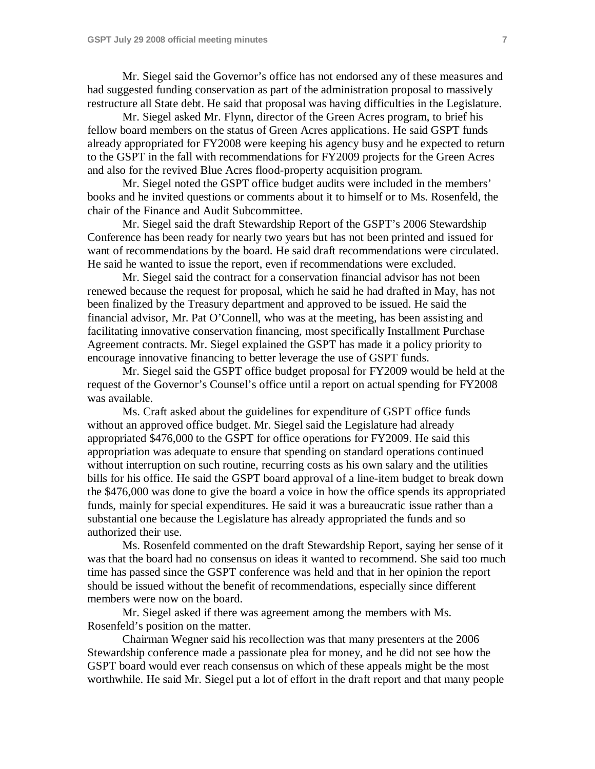Mr. Siegel said the Governor's office has not endorsed any of these measures and had suggested funding conservation as part of the administration proposal to massively restructure all State debt. He said that proposal was having difficulties in the Legislature.

Mr. Siegel asked Mr. Flynn, director of the Green Acres program, to brief his fellow board members on the status of Green Acres applications. He said GSPT funds already appropriated for FY2008 were keeping his agency busy and he expected to return to the GSPT in the fall with recommendations for FY2009 projects for the Green Acres and also for the revived Blue Acres flood-property acquisition program.

Mr. Siegel noted the GSPT office budget audits were included in the members' books and he invited questions or comments about it to himself or to Ms. Rosenfeld, the chair of the Finance and Audit Subcommittee.

Mr. Siegel said the draft Stewardship Report of the GSPT's 2006 Stewardship Conference has been ready for nearly two years but has not been printed and issued for want of recommendations by the board. He said draft recommendations were circulated. He said he wanted to issue the report, even if recommendations were excluded.

Mr. Siegel said the contract for a conservation financial advisor has not been renewed because the request for proposal, which he said he had drafted in May, has not been finalized by the Treasury department and approved to be issued. He said the financial advisor, Mr. Pat O'Connell, who was at the meeting, has been assisting and facilitating innovative conservation financing, most specifically Installment Purchase Agreement contracts. Mr. Siegel explained the GSPT has made it a policy priority to encourage innovative financing to better leverage the use of GSPT funds.

Mr. Siegel said the GSPT office budget proposal for FY2009 would be held at the request of the Governor's Counsel's office until a report on actual spending for FY2008 was available.

Ms. Craft asked about the guidelines for expenditure of GSPT office funds without an approved office budget. Mr. Siegel said the Legislature had already appropriated \$476,000 to the GSPT for office operations for FY2009. He said this appropriation was adequate to ensure that spending on standard operations continued without interruption on such routine, recurring costs as his own salary and the utilities bills for his office. He said the GSPT board approval of a line-item budget to break down the \$476,000 was done to give the board a voice in how the office spends its appropriated funds, mainly for special expenditures. He said it was a bureaucratic issue rather than a substantial one because the Legislature has already appropriated the funds and so authorized their use.

Ms. Rosenfeld commented on the draft Stewardship Report, saying her sense of it was that the board had no consensus on ideas it wanted to recommend. She said too much time has passed since the GSPT conference was held and that in her opinion the report should be issued without the benefit of recommendations, especially since different members were now on the board.

Mr. Siegel asked if there was agreement among the members with Ms. Rosenfeld's position on the matter.

Chairman Wegner said his recollection was that many presenters at the 2006 Stewardship conference made a passionate plea for money, and he did not see how the GSPT board would ever reach consensus on which of these appeals might be the most worthwhile. He said Mr. Siegel put a lot of effort in the draft report and that many people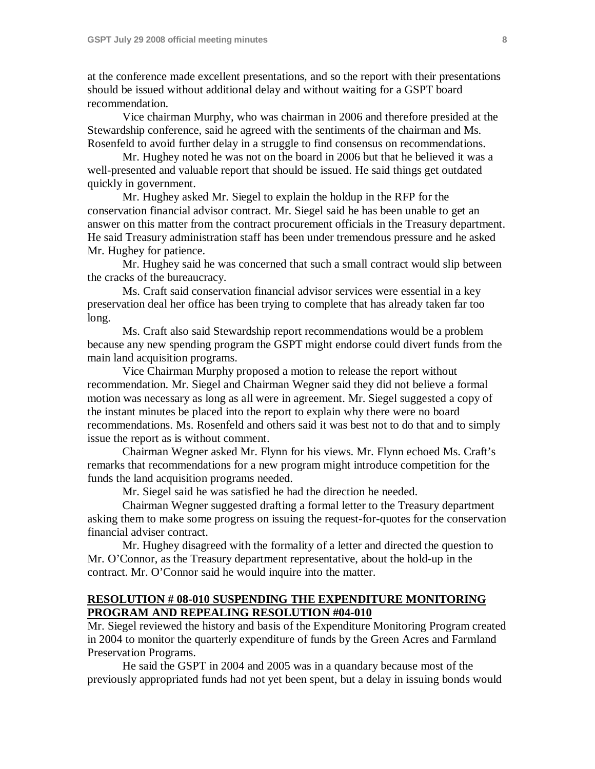at the conference made excellent presentations, and so the report with their presentations should be issued without additional delay and without waiting for a GSPT board recommendation.

Vice chairman Murphy, who was chairman in 2006 and therefore presided at the Stewardship conference, said he agreed with the sentiments of the chairman and Ms. Rosenfeld to avoid further delay in a struggle to find consensus on recommendations.

Mr. Hughey noted he was not on the board in 2006 but that he believed it was a well-presented and valuable report that should be issued. He said things get outdated quickly in government.

Mr. Hughey asked Mr. Siegel to explain the holdup in the RFP for the conservation financial advisor contract. Mr. Siegel said he has been unable to get an answer on this matter from the contract procurement officials in the Treasury department. He said Treasury administration staff has been under tremendous pressure and he asked Mr. Hughey for patience.

Mr. Hughey said he was concerned that such a small contract would slip between the cracks of the bureaucracy.

Ms. Craft said conservation financial advisor services were essential in a key preservation deal her office has been trying to complete that has already taken far too long.

Ms. Craft also said Stewardship report recommendations would be a problem because any new spending program the GSPT might endorse could divert funds from the main land acquisition programs.

Vice Chairman Murphy proposed a motion to release the report without recommendation. Mr. Siegel and Chairman Wegner said they did not believe a formal motion was necessary as long as all were in agreement. Mr. Siegel suggested a copy of the instant minutes be placed into the report to explain why there were no board recommendations. Ms. Rosenfeld and others said it was best not to do that and to simply issue the report as is without comment.

Chairman Wegner asked Mr. Flynn for his views. Mr. Flynn echoed Ms. Craft's remarks that recommendations for a new program might introduce competition for the funds the land acquisition programs needed.

Mr. Siegel said he was satisfied he had the direction he needed.

Chairman Wegner suggested drafting a formal letter to the Treasury department asking them to make some progress on issuing the request-for-quotes for the conservation financial adviser contract.

Mr. Hughey disagreed with the formality of a letter and directed the question to Mr. O'Connor, as the Treasury department representative, about the hold-up in the contract. Mr. O'Connor said he would inquire into the matter.

## **RESOLUTION # 08-010 SUSPENDING THE EXPENDITURE MONITORING PROGRAM AND REPEALING RESOLUTION #04-010**

Mr. Siegel reviewed the history and basis of the Expenditure Monitoring Program created in 2004 to monitor the quarterly expenditure of funds by the Green Acres and Farmland Preservation Programs.

He said the GSPT in 2004 and 2005 was in a quandary because most of the previously appropriated funds had not yet been spent, but a delay in issuing bonds would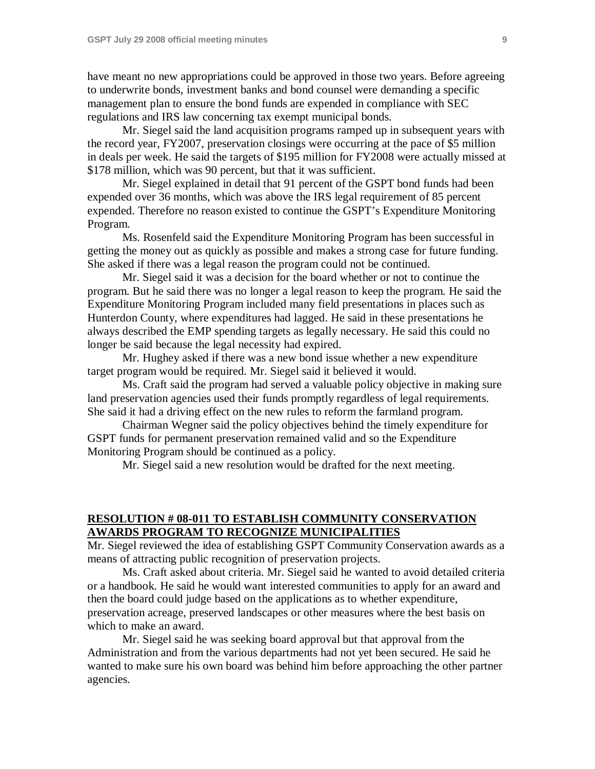have meant no new appropriations could be approved in those two years. Before agreeing to underwrite bonds, investment banks and bond counsel were demanding a specific management plan to ensure the bond funds are expended in compliance with SEC regulations and IRS law concerning tax exempt municipal bonds.

Mr. Siegel said the land acquisition programs ramped up in subsequent years with the record year, FY2007, preservation closings were occurring at the pace of \$5 million in deals per week. He said the targets of \$195 million for FY2008 were actually missed at \$178 million, which was 90 percent, but that it was sufficient.

Mr. Siegel explained in detail that 91 percent of the GSPT bond funds had been expended over 36 months, which was above the IRS legal requirement of 85 percent expended. Therefore no reason existed to continue the GSPT's Expenditure Monitoring Program.

Ms. Rosenfeld said the Expenditure Monitoring Program has been successful in getting the money out as quickly as possible and makes a strong case for future funding. She asked if there was a legal reason the program could not be continued.

Mr. Siegel said it was a decision for the board whether or not to continue the program. But he said there was no longer a legal reason to keep the program. He said the Expenditure Monitoring Program included many field presentations in places such as Hunterdon County, where expenditures had lagged. He said in these presentations he always described the EMP spending targets as legally necessary. He said this could no longer be said because the legal necessity had expired.

Mr. Hughey asked if there was a new bond issue whether a new expenditure target program would be required. Mr. Siegel said it believed it would.

Ms. Craft said the program had served a valuable policy objective in making sure land preservation agencies used their funds promptly regardless of legal requirements. She said it had a driving effect on the new rules to reform the farmland program.

Chairman Wegner said the policy objectives behind the timely expenditure for GSPT funds for permanent preservation remained valid and so the Expenditure Monitoring Program should be continued as a policy.

Mr. Siegel said a new resolution would be drafted for the next meeting.

### **RESOLUTION # 08-011 TO ESTABLISH COMMUNITY CONSERVATION AWARDS PROGRAM TO RECOGNIZE MUNICIPALITIES**

Mr. Siegel reviewed the idea of establishing GSPT Community Conservation awards as a means of attracting public recognition of preservation projects.

Ms. Craft asked about criteria. Mr. Siegel said he wanted to avoid detailed criteria or a handbook. He said he would want interested communities to apply for an award and then the board could judge based on the applications as to whether expenditure, preservation acreage, preserved landscapes or other measures where the best basis on which to make an award.

Mr. Siegel said he was seeking board approval but that approval from the Administration and from the various departments had not yet been secured. He said he wanted to make sure his own board was behind him before approaching the other partner agencies.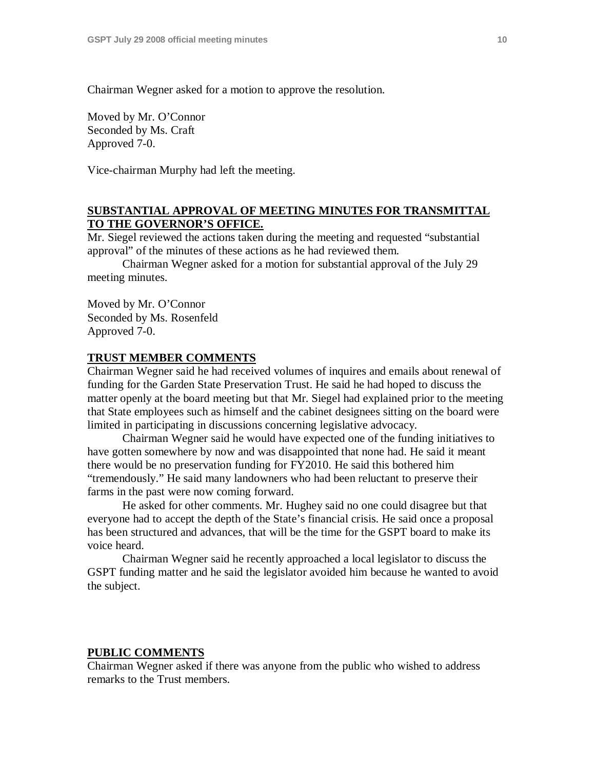Chairman Wegner asked for a motion to approve the resolution.

Moved by Mr. O'Connor Seconded by Ms. Craft Approved 7-0.

Vice-chairman Murphy had left the meeting.

### **SUBSTANTIAL APPROVAL OF MEETING MINUTES FOR TRANSMITTAL TO THE GOVERNOR'S OFFICE.**

Mr. Siegel reviewed the actions taken during the meeting and requested "substantial approval" of the minutes of these actions as he had reviewed them.

Chairman Wegner asked for a motion for substantial approval of the July 29 meeting minutes.

Moved by Mr. O'Connor Seconded by Ms. Rosenfeld Approved 7-0.

#### **TRUST MEMBER COMMENTS**

Chairman Wegner said he had received volumes of inquires and emails about renewal of funding for the Garden State Preservation Trust. He said he had hoped to discuss the matter openly at the board meeting but that Mr. Siegel had explained prior to the meeting that State employees such as himself and the cabinet designees sitting on the board were limited in participating in discussions concerning legislative advocacy.

Chairman Wegner said he would have expected one of the funding initiatives to have gotten somewhere by now and was disappointed that none had. He said it meant there would be no preservation funding for FY2010. He said this bothered him "tremendously." He said many landowners who had been reluctant to preserve their farms in the past were now coming forward.

He asked for other comments. Mr. Hughey said no one could disagree but that everyone had to accept the depth of the State's financial crisis. He said once a proposal has been structured and advances, that will be the time for the GSPT board to make its voice heard.

Chairman Wegner said he recently approached a local legislator to discuss the GSPT funding matter and he said the legislator avoided him because he wanted to avoid the subject.

#### **PUBLIC COMMENTS**

Chairman Wegner asked if there was anyone from the public who wished to address remarks to the Trust members.